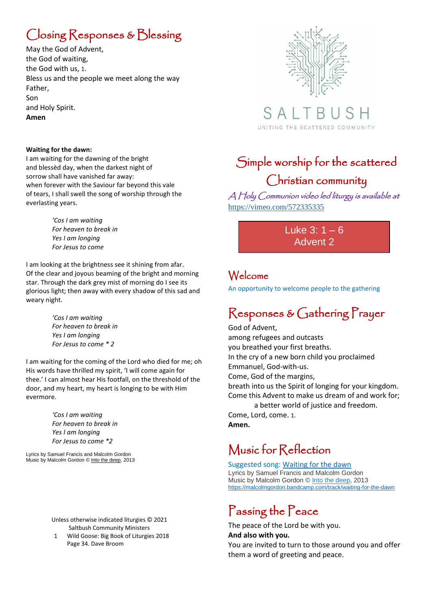# Closing Responses & Blessing

May the God of Advent, the God of waiting, the God with us, 1. Bless us and the people we meet along the way Father, Son and Holy Spirit. **Amen**

#### **Waiting for the dawn:**

I am waiting for the dawning of the bright and blessèd day, when the darkest night of sorrow shall have vanished far away: when forever with the Saviour far beyond this vale of tears, I shall swell the song of worship through the everlasting years.

> *'Cos I am waiting For heaven to break in Yes I am longing For Jesus to come*

I am looking at the brightness see it shining from afar. Of the clear and joyous beaming of the bright and morning star. Through the dark grey mist of morning do I see its glorious light; then away with every shadow of this sad and weary night.

> *'Cos I am waiting For heaven to break in Yes I am longing For Jesus to come \* 2*

I am waiting for the coming of the Lord who died for me; oh His words have thrilled my spirit, 'I will come again for thee.' I can almost hear His footfall, on the threshold of the door, and my heart, my heart is longing to be with Him evermore.

> *'Cos I am waiting For heaven to break in Yes I am longing For Jesus to come \*2*

Lyrics by Samuel Francis and Malcolm Gordon Music by Malcolm Gordon © [Into the deep,](https://malcolmgordon.bandcamp.com/album/into-the-deep) 2013

> Unless otherwise indicated liturgies © 2021 Saltbush Community Ministers

1 Wild Goose: Big Book of Liturgies 2018 Page 34. Dave Broom



SAI UNITING THE SCATTERED COMMUNITY

## Simple worship for the scattered Christian community

A Holy Communion video led liturgy is available at <https://vimeo.com/572335335>

> Luke  $3: 1 - 6$ Advent 2

### Welcome

An opportunity to welcome people to the gathering

### Responses & Gathering Prayer

God of Advent, among refugees and outcasts you breathed your first breaths. In the cry of a new born child you proclaimed Emmanuel, God-with-us. Come, God of the margins, breath into us the Spirit of longing for your kingdom. Come this Advent to make us dream of and work for; a better world of justice and freedom. Come, Lord, come. 1. **Amen.**

## Music for Reflection

Suggested song: [Waiting for the dawn](https://malcolmgordon.bandcamp.com/track/waiting-for-the-dawn) Lyrics by Samuel Francis and Malcolm Gordon Music by Malcolm Gordon © [Into the deep,](https://malcolmgordon.bandcamp.com/album/into-the-deep) 2013 <https://malcolmgordon.bandcamp.com/track/waiting-for-the-dawn>

### Passing the Peace

The peace of the Lord be with you. **And also with you.**

You are invited to turn to those around you and offer them a word of greeting and peace.